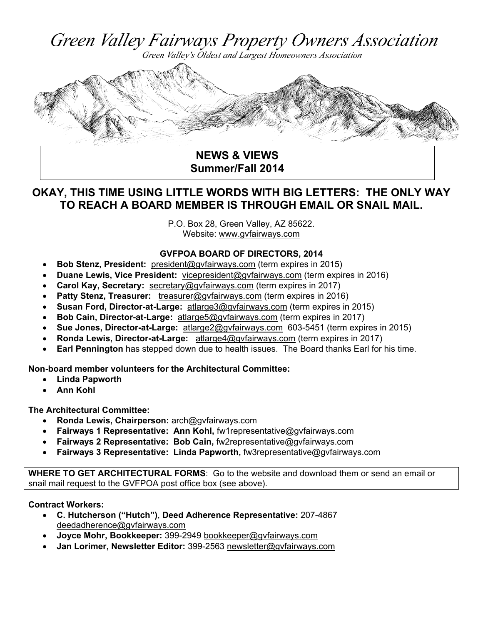Green Valley Fairways Property Owners Association



 **NEWS & VIEWS Summer/Fall 2014** 

# **OKAY, THIS TIME USING LITTLE WORDS WITH BIG LETTERS: THE ONLY WAY TO REACH A BOARD MEMBER IS THROUGH EMAIL OR SNAIL MAIL.**

P.O. Box 28, Green Valley, AZ 85622. Website: www.gvfairways.com

### **GVFPOA BOARD OF DIRECTORS, 2014**

- **Bob Stenz, President:** president@gvfairways.com (term expires in 2015)
- **Duane Lewis, Vice President:** vicepresident@gvfairways.com (term expires in 2016)
- **Carol Kay, Secretary:** secretary@gyfairways.com (term expires in 2017)
- **Patty Stenz, Treasurer:** treasurer@gvfairways.com (term expires in 2016)
- **Susan Ford, Director-at-Large:** atlarge3@gvfairways.com (term expires in 2015)
- **Bob Cain, Director-at-Large:** atlarge5@gvfairways.com (term expires in 2017)
- **Sue Jones, Director-at-Large:** atlarge2@gvfairways.com 603-5451 (term expires in 2015)
- **Ronda Lewis, Director-at-Large:** atlarge4@gvfairways.com (term expires in 2017)
- **Earl Pennington** has stepped down due to health issues. The Board thanks Earl for his time.

**Non-board member volunteers for the Architectural Committee:** 

- **Linda Papworth**
- **Ann Kohl**

**The Architectural Committee:** 

- **Ronda Lewis, Chairperson:** arch@gvfairways.com
- **Fairways 1 Representative: Ann Kohl,** fw1representative@gvfairways.com
- **Fairways 2 Representative: Bob Cain,** fw2representative@gvfairways.com
- **Fairways 3 Representative: Linda Papworth,** fw3representative@gvfairways.com

**WHERE TO GET ARCHITECTURAL FORMS**: Go to the website and download them or send an email or snail mail request to the GVFPOA post office box (see above).

### **Contract Workers:**

- **C. Hutcherson ("Hutch")**, **Deed Adherence Representative:** 207-4867 deedadherence@gvfairways.com
- **Joyce Mohr, Bookkeeper:** 399-2949 bookkeeper@gvfairways.com
- **Jan Lorimer, Newsletter Editor:** 399-2563 newsletter@gvfairways.com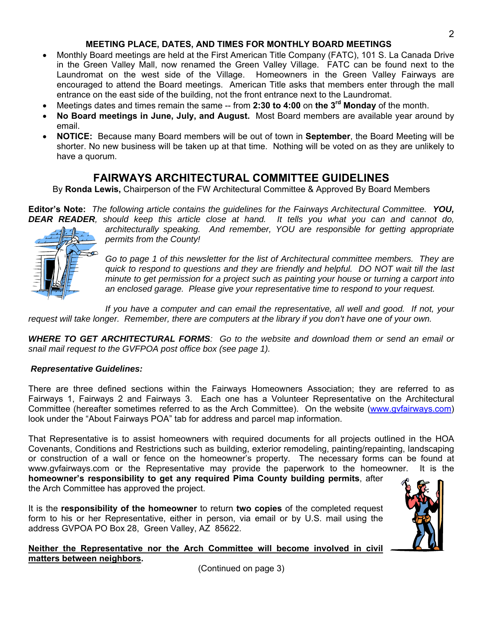### **MEETING PLACE, DATES, AND TIMES FOR MONTHLY BOARD MEETINGS**

- Monthly Board meetings are held at the First American Title Company (FATC), 101 S. La Canada Drive in the Green Valley Mall, now renamed the Green Valley Village. FATC can be found next to the Laundromat on the west side of the Village. Homeowners in the Green Valley Fairways are encouraged to attend the Board meetings. American Title asks that members enter through the mall entrance on the east side of the building, not the front entrance next to the Laundromat.
- Meetings dates and times remain the same -- from **2:30 to 4:00** on **the 3rd Monday** of the month.
- **No Board meetings in June, July, and August.** Most Board members are available year around by email.
- **NOTICE:** Because many Board members will be out of town in **September**, the Board Meeting will be shorter. No new business will be taken up at that time. Nothing will be voted on as they are unlikely to have a quorum.

## **FAIRWAYS ARCHITECTURAL COMMITTEE GUIDELINES**

By **Ronda Lewis,** Chairperson of the FW Architectural Committee & Approved By Board Members

**Editor's Note:** *The following article contains the guidelines for the Fairways Architectural Committee. YOU, DEAR READER, should keep this article close at hand. It tells you what you can and cannot do,* 



*architecturally speaking. And remember, YOU are responsible for getting appropriate permits from the County!* 

*Go to page 1 of this newsletter for the list of Architectural committee members. They are quick to respond to questions and they are friendly and helpful. DO NOT wait till the last minute to get permission for a project such as painting your house or turning a carport into an enclosed garage. Please give your representative time to respond to your request.* 

*If you have a computer and can email the representative, all well and good. If not, your request will take longer. Remember, there are computers at the library if you don't have one of your own.* 

*WHERE TO GET ARCHITECTURAL FORMS: Go to the website and download them or send an email or snail mail request to the GVFPOA post office box (see page 1).* 

#### *Representative Guidelines:*

There are three defined sections within the Fairways Homeowners Association; they are referred to as Fairways 1, Fairways 2 and Fairways 3. Each one has a Volunteer Representative on the Architectural Committee (hereafter sometimes referred to as the Arch Committee). On the website (www.gvfairways.com) look under the "About Fairways POA" tab for address and parcel map information.

That Representative is to assist homeowners with required documents for all projects outlined in the HOA Covenants, Conditions and Restrictions such as building, exterior remodeling, painting/repainting, landscaping or construction of a wall or fence on the homeowner's property. The necessary forms can be found at www.gvfairways.com or the Representative may provide the paperwork to the homeowner. It is the **homeowner's responsibility to get any required Pima County building permits**, after

the Arch Committee has approved the project.

It is the **responsibility of the homeowner** to return **two copies** of the completed request form to his or her Representative, either in person, via email or by U.S. mail using the address GVPOA PO Box 28, Green Valley, AZ 85622.



(Continued on page 3)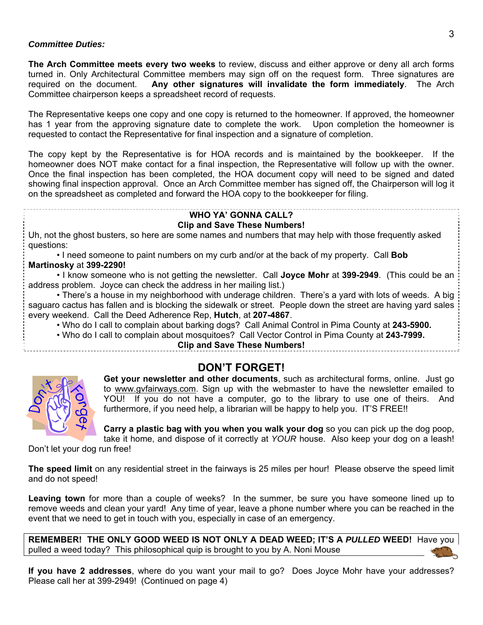#### *Committee Duties:*

**The Arch Committee meets every two weeks** to review, discuss and either approve or deny all arch forms turned in. Only Architectural Committee members may sign off on the request form. Three signatures are required on the document. **Any other signatures will invalidate the form immediately**. The Arch Committee chairperson keeps a spreadsheet record of requests.

The Representative keeps one copy and one copy is returned to the homeowner. If approved, the homeowner has 1 year from the approving signature date to complete the work. Upon completion the homeowner is requested to contact the Representative for final inspection and a signature of completion.

The copy kept by the Representative is for HOA records and is maintained by the bookkeeper. If the homeowner does NOT make contact for a final inspection, the Representative will follow up with the owner. Once the final inspection has been completed, the HOA document copy will need to be signed and dated showing final inspection approval. Once an Arch Committee member has signed off, the Chairperson will log it on the spreadsheet as completed and forward the HOA copy to the bookkeeper for filing.

#### **WHO YA' GONNA CALL?**

#### **Clip and Save These Numbers!**

Uh, not the ghost busters, so here are some names and numbers that may help with those frequently asked questions:

• I need someone to paint numbers on my curb and/or at the back of my property. Call **Bob Martinosky** at **399-2290!**

• I know someone who is not getting the newsletter. Call **Joyce Mohr** at **399-2949**. (This could be an address problem. Joyce can check the address in her mailing list.)

• There's a house in my neighborhood with underage children. There's a yard with lots of weeds. A big saguaro cactus has fallen and is blocking the sidewalk or street. People down the street are having yard sales every weekend. Call the Deed Adherence Rep, **Hutch**, at **207-4867**.

• Who do I call to complain about barking dogs? Call Animal Control in Pima County at **243-5900.**

• Who do I call to complain about mosquitoes? Call Vector Control in Pima County at **243-7999.** 

**Clip and Save These Numbers!** 

## **DON'T FORGET!**



**Get your newsletter and other documents**, such as architectural forms, online. Just go to www.gvfairways.com. Sign up with the webmaster to have the newsletter emailed to YOU! If you do not have a computer, go to the library to use one of theirs. And furthermore, if you need help, a librarian will be happy to help you. IT'S FREE!!

**Carry a plastic bag with you when you walk your dog** so you can pick up the dog poop, take it home, and dispose of it correctly at *YOUR* house. Also keep your dog on a leash!

Don't let your dog run free!

**The speed limit** on any residential street in the fairways is 25 miles per hour! Please observe the speed limit and do not speed!

Leaving town for more than a couple of weeks? In the summer, be sure you have someone lined up to remove weeds and clean your yard! Any time of year, leave a phone number where you can be reached in the event that we need to get in touch with you, especially in case of an emergency.

**REMEMBER! THE ONLY GOOD WEED IS NOT ONLY A DEAD WEED; IT'S A** *PULLED* **WEED!** Have you pulled a weed today? This philosophical quip is brought to you by A. Noni Mouse

**If you have 2 addresses**, where do you want your mail to go? Does Joyce Mohr have your addresses? Please call her at 399-2949! (Continued on page 4)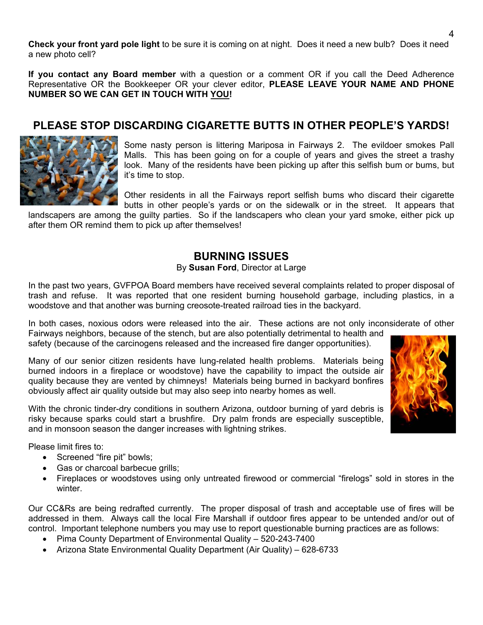**Check your front yard pole light** to be sure it is coming on at night. Does it need a new bulb? Does it need a new photo cell?

**If you contact any Board member** with a question or a comment OR if you call the Deed Adherence Representative OR the Bookkeeper OR your clever editor, **PLEASE LEAVE YOUR NAME AND PHONE NUMBER SO WE CAN GET IN TOUCH WITH YOU!** 

## **PLEASE STOP DISCARDING CIGARETTE BUTTS IN OTHER PEOPLE'S YARDS!**



Some nasty person is littering Mariposa in Fairways 2. The evildoer smokes Pall Malls. This has been going on for a couple of years and gives the street a trashy look. Many of the residents have been picking up after this selfish bum or bums, but it's time to stop.

Other residents in all the Fairways report selfish bums who discard their cigarette butts in other people's yards or on the sidewalk or in the street. It appears that

landscapers are among the guilty parties. So if the landscapers who clean your yard smoke, either pick up after them OR remind them to pick up after themselves!

## **BURNING ISSUES**

#### By **Susan Ford**, Director at Large

In the past two years, GVFPOA Board members have received several complaints related to proper disposal of trash and refuse. It was reported that one resident burning household garbage, including plastics, in a woodstove and that another was burning creosote-treated railroad ties in the backyard.

In both cases, noxious odors were released into the air. These actions are not only inconsiderate of other

Fairways neighbors, because of the stench, but are also potentially detrimental to health and safety (because of the carcinogens released and the increased fire danger opportunities).

Many of our senior citizen residents have lung-related health problems. Materials being burned indoors in a fireplace or woodstove) have the capability to impact the outside air quality because they are vented by chimneys! Materials being burned in backyard bonfires obviously affect air quality outside but may also seep into nearby homes as well.

With the chronic tinder-dry conditions in southern Arizona, outdoor burning of yard debris is risky because sparks could start a brushfire. Dry palm fronds are especially susceptible, and in monsoon season the danger increases with lightning strikes.

Please limit fires to:

- Screened "fire pit" bowls;
- Gas or charcoal barbecue grills;
- Fireplaces or woodstoves using only untreated firewood or commercial "firelogs" sold in stores in the winter

Our CC&Rs are being redrafted currently. The proper disposal of trash and acceptable use of fires will be addressed in them. Always call the local Fire Marshall if outdoor fires appear to be untended and/or out of control. Important telephone numbers you may use to report questionable burning practices are as follows:

- Pima County Department of Environmental Quality 520-243-7400
- Arizona State Environmental Quality Department (Air Quality) 628-6733

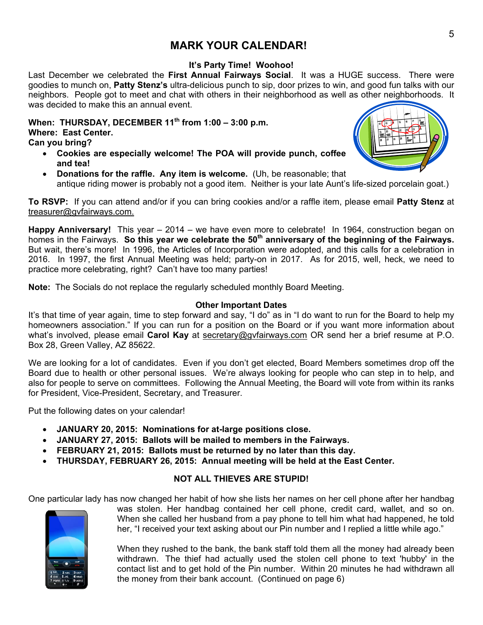## **MARK YOUR CALENDAR!**

### **It's Party Time! Woohoo!**

Last December we celebrated the **First Annual Fairways Social**. It was a HUGE success. There were goodies to munch on, **Patty Stenz's** ultra-delicious punch to sip, door prizes to win, and good fun talks with our neighbors. People got to meet and chat with others in their neighborhood as well as other neighborhoods. It was decided to make this an annual event.

**When: THURSDAY, DECEMBER 11th from 1:00 – 3:00 p.m. Where: East Center. Can you bring?** 

- **Cookies are especially welcome! The POA will provide punch, coffee and tea!**
- **Donations for the raffle. Any item is welcome.** (Uh, be reasonable; that antique riding mower is probably not a good item. Neither is your late Aunt's life-sized porcelain goat.)

**To RSVP:** If you can attend and/or if you can bring cookies and/or a raffle item, please email **Patty Stenz** at treasurer@gvfairways.com.

**Happy Anniversary!** This year – 2014 – we have even more to celebrate! In 1964, construction began on homes in the Fairways. So this year we celebrate the 50<sup>th</sup> anniversary of the beginning of the Fairways. But wait, there's more! In 1996, the Articles of Incorporation were adopted, and this calls for a celebration in 2016. In 1997, the first Annual Meeting was held; party-on in 2017. As for 2015, well, heck, we need to practice more celebrating, right? Can't have too many parties!

**Note:** The Socials do not replace the regularly scheduled monthly Board Meeting.

#### **Other Important Dates**

It's that time of year again, time to step forward and say, "I do" as in "I do want to run for the Board to help my homeowners association." If you can run for a position on the Board or if you want more information about what's involved, please email **Carol Kay** at secretary@gvfairways.com OR send her a brief resume at P.O. Box 28, Green Valley, AZ 85622.

We are looking for a lot of candidates. Even if you don't get elected, Board Members sometimes drop off the Board due to health or other personal issues. We're always looking for people who can step in to help, and also for people to serve on committees. Following the Annual Meeting, the Board will vote from within its ranks for President, Vice-President, Secretary, and Treasurer.

Put the following dates on your calendar!

- **JANUARY 20, 2015: Nominations for at-large positions close.**
- **JANUARY 27, 2015: Ballots will be mailed to members in the Fairways.**
- **FEBRUARY 21, 2015: Ballots must be returned by no later than this day.**
- **THURSDAY, FEBRUARY 26, 2015: Annual meeting will be held at the East Center.**

### **NOT ALL THIEVES ARE STUPID!**

One particular lady has now changed her habit of how she lists her names on her cell phone after her handbag



was stolen. Her handbag contained her cell phone, credit card, wallet, and so on. When she called her husband from a pay phone to tell him what had happened, he told her, "I received your text asking about our Pin number and I replied a little while ago."

When they rushed to the bank, the bank staff told them all the money had already been withdrawn. The thief had actually used the stolen cell phone to text 'hubby' in the contact list and to get hold of the Pin number. Within 20 minutes he had withdrawn all the money from their bank account. (Continued on page 6)

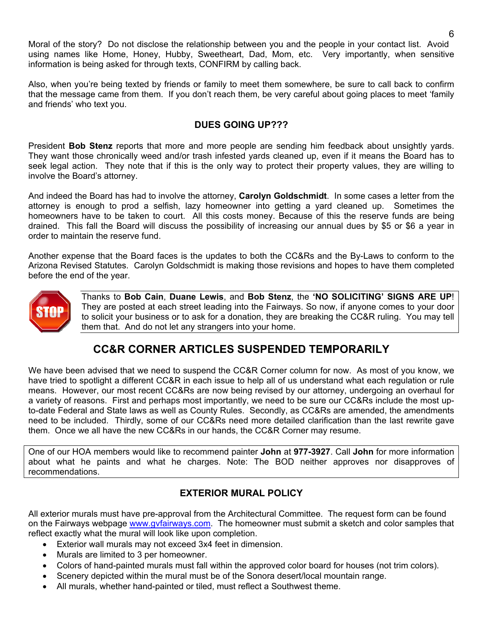Moral of the story? Do not disclose the relationship between you and the people in your contact list. Avoid using names like Home, Honey, Hubby, Sweetheart, Dad, Mom, etc. Very importantly, when sensitive information is being asked for through texts, CONFIRM by calling back.

Also, when you're being texted by friends or family to meet them somewhere, be sure to call back to confirm that the message came from them. If you don't reach them, be very careful about going places to meet 'family and friends' who text you.

### **DUES GOING UP???**

President **Bob Stenz** reports that more and more people are sending him feedback about unsightly yards. They want those chronically weed and/or trash infested yards cleaned up, even if it means the Board has to seek legal action. They note that if this is the only way to protect their property values, they are willing to involve the Board's attorney.

And indeed the Board has had to involve the attorney, **Carolyn Goldschmidt**. In some cases a letter from the attorney is enough to prod a selfish, lazy homeowner into getting a yard cleaned up. Sometimes the homeowners have to be taken to court. All this costs money. Because of this the reserve funds are being drained. This fall the Board will discuss the possibility of increasing our annual dues by \$5 or \$6 a year in order to maintain the reserve fund.

Another expense that the Board faces is the updates to both the CC&Rs and the By-Laws to conform to the Arizona Revised Statutes. Carolyn Goldschmidt is making those revisions and hopes to have them completed before the end of the year.



Thanks to **Bob Cain**, **Duane Lewis**, and **Bob Stenz**, the **'NO SOLICITING' SIGNS ARE UP**! They are posted at each street leading into the Fairways. So now, if anyone comes to your door to solicit your business or to ask for a donation, they are breaking the CC&R ruling. You may tell them that. And do not let any strangers into your home.

# **CC&R CORNER ARTICLES SUSPENDED TEMPORARILY**

We have been advised that we need to suspend the CC&R Corner column for now. As most of you know, we have tried to spotlight a different CC&R in each issue to help all of us understand what each regulation or rule means. However, our most recent CC&Rs are now being revised by our attorney, undergoing an overhaul for a variety of reasons. First and perhaps most importantly, we need to be sure our CC&Rs include the most upto-date Federal and State laws as well as County Rules. Secondly, as CC&Rs are amended, the amendments need to be included. Thirdly, some of our CC&Rs need more detailed clarification than the last rewrite gave them. Once we all have the new CC&Rs in our hands, the CC&R Corner may resume.

One of our HOA members would like to recommend painter **John** at **977-3927**. Call **John** for more information about what he paints and what he charges. Note: The BOD neither approves nor disapproves of recommendations.

## **EXTERIOR MURAL POLICY**

All exterior murals must have pre-approval from the Architectural Committee. The request form can be found on the Fairways webpage www.gvfairways.com. The homeowner must submit a sketch and color samples that reflect exactly what the mural will look like upon completion.

- Exterior wall murals may not exceed 3x4 feet in dimension.
- Murals are limited to 3 per homeowner.
- Colors of hand-painted murals must fall within the approved color board for houses (not trim colors).
- Scenery depicted within the mural must be of the Sonora desert/local mountain range.
- All murals, whether hand-painted or tiled, must reflect a Southwest theme.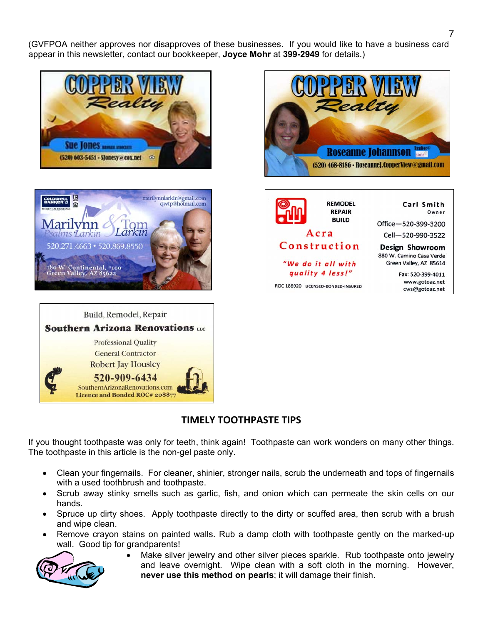(GVFPOA neither approves nor disapproves of these businesses. If you would like to have a business card appear in this newsletter, contact our bookkeeper, **Joyce Mohr** at **399-2949** for details.)











## **TIMELY TOOTHPASTE TIPS**

If you thought toothpaste was only for teeth, think again! Toothpaste can work wonders on many other things. The toothpaste in this article is the non-gel paste only.

- Clean your fingernails. For cleaner, shinier, stronger nails, scrub the underneath and tops of fingernails with a used toothbrush and toothpaste.
- Scrub away stinky smells such as garlic, fish, and onion which can permeate the skin cells on our hands.
- Spruce up dirty shoes. Apply toothpaste directly to the dirty or scuffed area, then scrub with a brush and wipe clean.
- Remove crayon stains on painted walls. Rub a damp cloth with toothpaste gently on the marked-up wall. Good tip for grandparents!



 Make silver jewelry and other silver pieces sparkle. Rub toothpaste onto jewelry and leave overnight. Wipe clean with a soft cloth in the morning. However, **never use this method on pearls**; it will damage their finish.